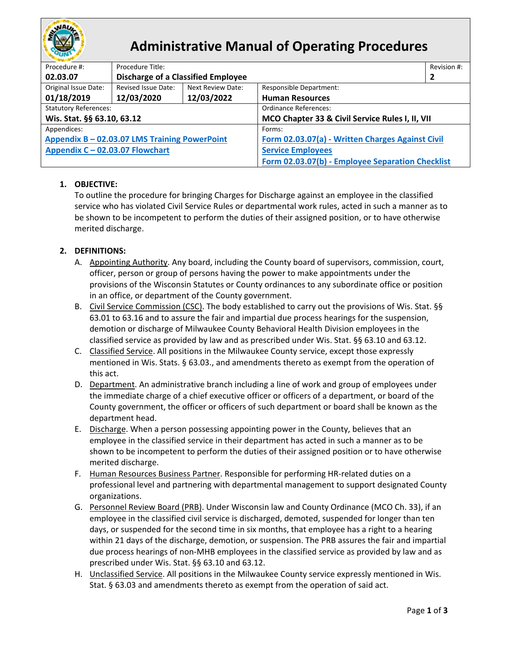

# **Administrative Manual of Operating Procedures**

| Procedure #:                                  | Procedure Title:                          |                          |                                                  | Revision #: |  |  |
|-----------------------------------------------|-------------------------------------------|--------------------------|--------------------------------------------------|-------------|--|--|
| 02.03.07                                      | <b>Discharge of a Classified Employee</b> |                          |                                                  | 2           |  |  |
| Original Issue Date:                          | Revised Issue Date:                       | <b>Next Review Date:</b> | <b>Responsible Department:</b>                   |             |  |  |
| 01/18/2019                                    | 12/03/2020                                | 12/03/2022               | <b>Human Resources</b>                           |             |  |  |
| <b>Statutory References:</b>                  |                                           |                          | Ordinance References:                            |             |  |  |
| Wis. Stat. §§ 63.10, 63.12                    |                                           |                          | MCO Chapter 33 & Civil Service Rules I, II, VII  |             |  |  |
| Appendices:                                   |                                           |                          | Forms:                                           |             |  |  |
| Appendix B - 02.03.07 LMS Training PowerPoint |                                           |                          | Form 02.03.07(a) - Written Charges Against Civil |             |  |  |
| Appendix C - 02.03.07 Flowchart               |                                           |                          | <b>Service Employees</b>                         |             |  |  |
|                                               |                                           |                          | Form 02.03.07(b) - Employee Separation Checklist |             |  |  |

## **1. OBJECTIVE:**

To outline the procedure for bringing Charges for Discharge against an employee in the classified service who has violated Civil Service Rules or departmental work rules, acted in such a manner as to be shown to be incompetent to perform the duties of their assigned position, or to have otherwise merited discharge.

## **2. DEFINITIONS:**

- A. Appointing Authority. Any board, including the County board of supervisors, commission, court, officer, person or group of persons having the power to make appointments under the provisions of the Wisconsin Statutes or County ordinances to any subordinate office or position in an office, or department of the County government.
- B. Civil Service Commission (CSC). The body established to carry out the provisions of Wis. Stat. §§ 63.01 to 63.16 and to assure the fair and impartial due process hearings for the suspension, demotion or discharge of Milwaukee County Behavioral Health Division employees in the classified service as provided by law and as prescribed under Wis. Stat. §§ 63.10 and 63.12.
- C. Classified Service. All positions in the Milwaukee County service, except those expressly mentioned in Wis. Stats. § 63.03., and amendments thereto as exempt from the operation of this act.
- D. Department. An administrative branch including a line of work and group of employees under the immediate charge of a chief executive officer or officers of a department, or board of the County government, the officer or officers of such department or board shall be known as the department head.
- E. Discharge. When a person possessing appointing power in the County, believes that an employee in the classified service in their department has acted in such a manner as to be shown to be incompetent to perform the duties of their assigned position or to have otherwise merited discharge.
- F. Human Resources Business Partner. Responsible for performing HR-related duties on a professional level and partnering with departmental management to support designated County organizations.
- G. Personnel Review Board (PRB). Under Wisconsin law and County Ordinance (MCO Ch. 33), if an employee in the classified civil service is discharged, demoted, suspended for longer than ten days, or suspended for the second time in six months, that employee has a right to a hearing within 21 days of the discharge, demotion, or suspension. The PRB assures the fair and impartial due process hearings of non-MHB employees in the classified service as provided by law and as prescribed under Wis. Stat. §§ 63.10 and 63.12.
- H. Unclassified Service. All positions in the Milwaukee County service expressly mentioned in Wis. Stat. § 63.03 and amendments thereto as exempt from the operation of said act.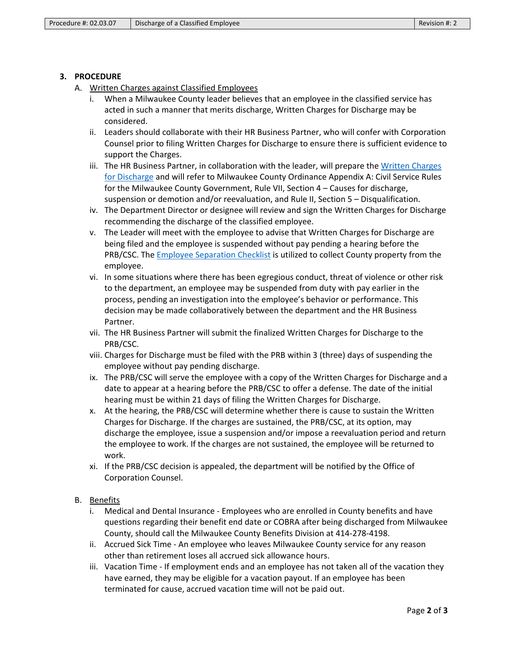### **3. PROCEDURE**

- A. Written Charges against Classified Employees
	- i. When a Milwaukee County leader believes that an employee in the classified service has acted in such a manner that merits discharge, Written Charges for Discharge may be considered.
	- ii. Leaders should collaborate with their HR Business Partner, who will confer with Corporation Counsel prior to filing Written Charges for Discharge to ensure there is sufficient evidence to support the Charges.
	- iii. The HR Business Partner, in collaboration with the leader, will prepare the [Written Charges](https://county.milwaukee.gov/files/county/administrative-services/AMOP/Chapter-2-Human-Resources/Form02.03.07a-ChargesforDischargeForm.pdf)  [for Discharge](https://county.milwaukee.gov/files/county/administrative-services/AMOP/Chapter-2-Human-Resources/Form02.03.07a-ChargesforDischargeForm.pdf) and will refer to Milwaukee County Ordinance Appendix A: Civil Service Rules for the Milwaukee County Government, Rule VII, Section 4 – Causes for discharge, suspension or demotion and/or reevaluation, and Rule II, Section 5 – Disqualification.
	- iv. The Department Director or designee will review and sign the Written Charges for Discharge recommending the discharge of the classified employee.
	- v. The Leader will meet with the employee to advise that Written Charges for Discharge are being filed and the employee is suspended without pay pending a hearing before the PRB/CSC. The [Employee Separation Checklist](https://county.milwaukee.gov/files/county/administrative-services/AMOP/Chapter-2-Human-Resources/Form02.03.07b-EmployeeSeparationChecklistForm.pdf) is utilized to collect County property from the employee.
	- vi. In some situations where there has been egregious conduct, threat of violence or other risk to the department, an employee may be suspended from duty with pay earlier in the process, pending an investigation into the employee's behavior or performance. This decision may be made collaboratively between the department and the HR Business Partner.
	- vii. The HR Business Partner will submit the finalized Written Charges for Discharge to the PRB/CSC.
	- viii. Charges for Discharge must be filed with the PRB within 3 (three) days of suspending the employee without pay pending discharge.
	- ix. The PRB/CSC will serve the employee with a copy of the Written Charges for Discharge and a date to appear at a hearing before the PRB/CSC to offer a defense. The date of the initial hearing must be within 21 days of filing the Written Charges for Discharge.
	- x. At the hearing, the PRB/CSC will determine whether there is cause to sustain the Written Charges for Discharge. If the charges are sustained, the PRB/CSC, at its option, may discharge the employee, issue a suspension and/or impose a reevaluation period and return the employee to work. If the charges are not sustained, the employee will be returned to work.
	- xi. If the PRB/CSC decision is appealed, the department will be notified by the Office of Corporation Counsel.

## B. Benefits

- i. Medical and Dental Insurance Employees who are enrolled in County benefits and have questions regarding their benefit end date or COBRA after being discharged from Milwaukee County, should call the Milwaukee County Benefits Division at 414-278-4198.
- ii. Accrued Sick Time An employee who leaves Milwaukee County service for any reason other than retirement loses all accrued sick allowance hours.
- iii. Vacation Time If employment ends and an employee has not taken all of the vacation they have earned, they may be eligible for a vacation payout. If an employee has been terminated for cause, accrued vacation time will not be paid out.